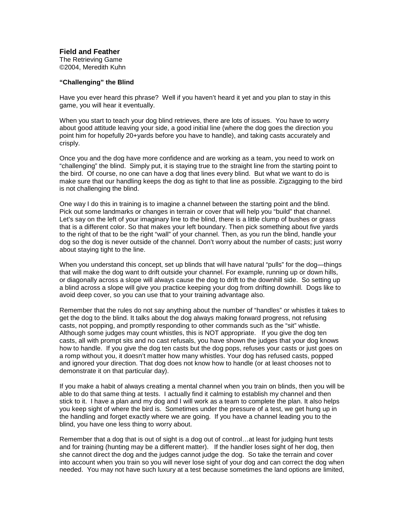**Field and Feather**

The Retrieving Game ©2004, Meredith Kuhn

## **"Challenging" the Blind**

Have you ever heard this phrase? Well if you haven't heard it yet and you plan to stay in this game, you will hear it eventually.

When you start to teach your dog blind retrieves, there are lots of issues. You have to worry about good attitude leaving your side, a good initial line (where the dog goes the direction you point him for hopefully 20+yards before you have to handle), and taking casts accurately and crisply.

Once you and the dog have more confidence and are working as a team, you need to work on "challenging" the blind. Simply put, it is staying true to the straight line from the starting point to the bird. Of course, no one can have a dog that lines every blind. But what we want to do is make sure that our handling keeps the dog as tight to that line as possible. Zigzagging to the bird is not challenging the blind.

One way I do this in training is to imagine a channel between the starting point and the blind. Pick out some landmarks or changes in terrain or cover that will help you "build" that channel. Let's say on the left of your imaginary line to the blind, there is a little clump of bushes or grass that is a different color. So that makes your left boundary. Then pick something about five yards to the right of that to be the right "wall" of your channel. Then, as you run the blind, handle your dog so the dog is never outside of the channel. Don't worry about the number of casts; just worry about staying tight to the line.

When you understand this concept, set up blinds that will have natural "pulls" for the dog—things that will make the dog want to drift outside your channel. For example, running up or down hills, or diagonally across a slope will always cause the dog to drift to the downhill side. So setting up a blind across a slope will give you practice keeping your dog from drifting downhill. Dogs like to avoid deep cover, so you can use that to your training advantage also.

Remember that the rules do not say anything about the number of "handles" or whistles it takes to get the dog to the blind. It talks about the dog always making forward progress, not refusing casts, not popping, and promptly responding to other commands such as the "sit" whistle. Although some judges may count whistles, this is NOT appropriate. If you give the dog ten casts, all with prompt sits and no cast refusals, you have shown the judges that your dog knows how to handle. If you give the dog ten casts but the dog pops, refuses your casts or just goes on a romp without you, it doesn't matter how many whistles. Your dog has refused casts, popped and ignored your direction. That dog does not know how to handle (or at least chooses not to demonstrate it on that particular day).

If you make a habit of always creating a mental channel when you train on blinds, then you will be able to do that same thing at tests. I actually find it calming to establish my channel and then stick to it. I have a plan and my dog and I will work as a team to complete the plan. It also helps you keep sight of where the bird is. Sometimes under the pressure of a test, we get hung up in the handling and forget exactly where we are going. If you have a channel leading you to the blind, you have one less thing to worry about.

Remember that a dog that is out of sight is a dog out of control…at least for judging hunt tests and for training (hunting may be a different matter). If the handler loses sight of her dog, then she cannot direct the dog and the judges cannot judge the dog. So take the terrain and cover into account when you train so you will never lose sight of your dog and can correct the dog when needed. You may not have such luxury at a test because sometimes the land options are limited,